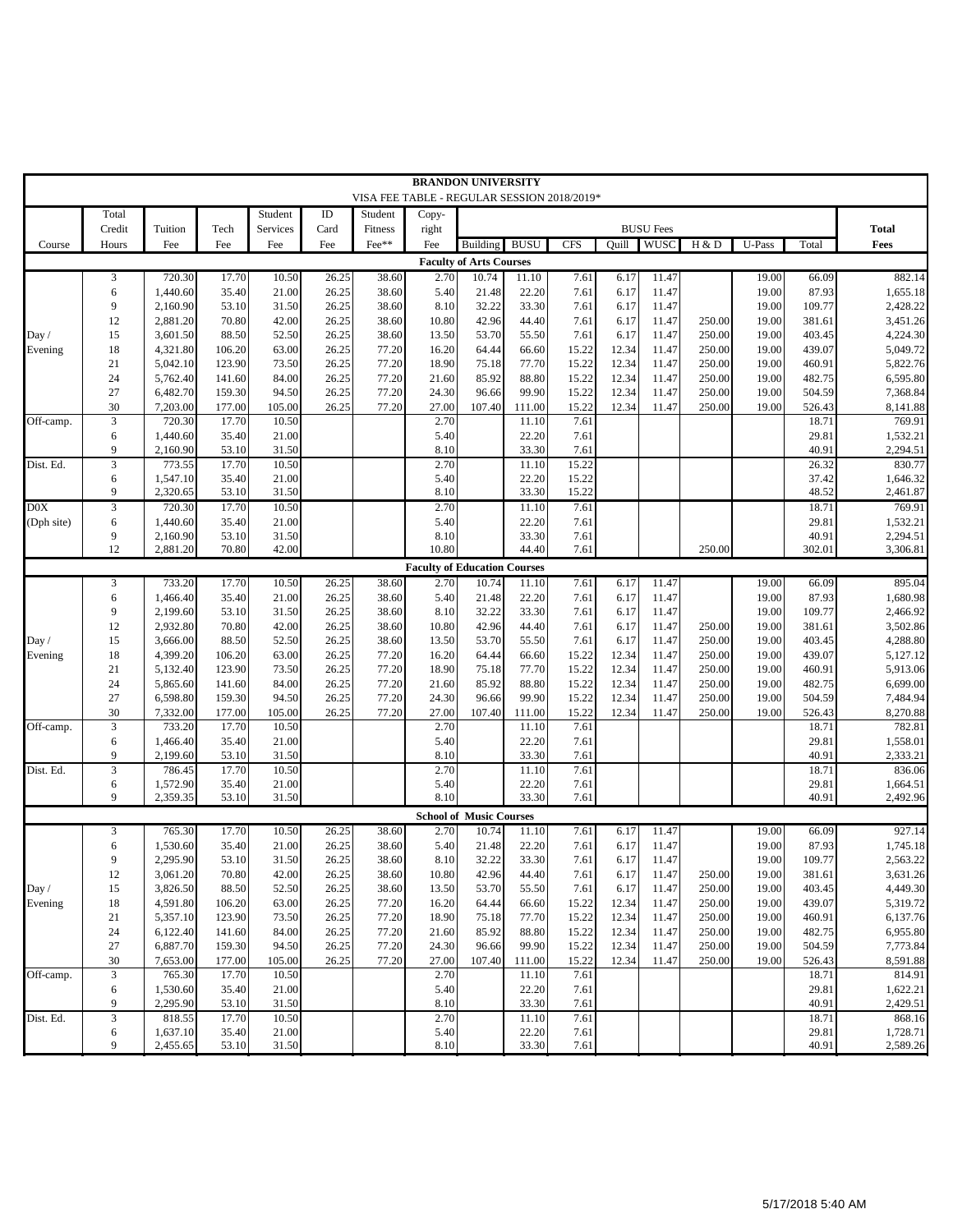|                                     |                      |                      |                  |                 |                |                  | <b>BRANDON UNIVERSITY</b>                   |                                         |                 |                |                |                                 |                  |                |                  |                      |
|-------------------------------------|----------------------|----------------------|------------------|-----------------|----------------|------------------|---------------------------------------------|-----------------------------------------|-----------------|----------------|----------------|---------------------------------|------------------|----------------|------------------|----------------------|
|                                     |                      |                      |                  |                 |                |                  | VISA FEE TABLE - REGULAR SESSION 2018/2019* |                                         |                 |                |                |                                 |                  |                |                  |                      |
|                                     | Total                |                      |                  | Student         | ID             | Student          | Copy-                                       |                                         |                 |                |                |                                 |                  |                |                  |                      |
| Course                              | Credit<br>Hours      | Tuition<br>Fee       | Tech<br>Fee      | Services<br>Fee | Card<br>Fee    | Fitness<br>Fee** | right<br>Fee                                | Building                                | <b>BUSU</b>     | <b>CFS</b>     | Ouill          | <b>BUSU</b> Fees<br><b>WUSC</b> | H & D            | U-Pass         | Total            | <b>Total</b><br>Fees |
|                                     |                      |                      |                  |                 |                |                  |                                             |                                         |                 |                |                |                                 |                  |                |                  |                      |
|                                     | 3                    | 720.30               | 17.70            | 10.50           | 26.25          | 38.60            | 2.70                                        | <b>Faculty of Arts Courses</b><br>10.74 | 11.10           | 7.61           | 6.17           | 11.47                           |                  | 19.00          | 66.09            | 882.14               |
|                                     | 6                    | 1,440.60             | 35.40            | 21.00           | 26.25          | 38.60            | 5.40                                        | 21.48                                   | 22.20           | 7.61           | 6.17           | 11.47                           |                  | 19.00          | 87.93            | 1,655.18             |
|                                     | 9                    | 2,160.90             | 53.10            | 31.50           | 26.25          | 38.60            | 8.10                                        | 32.22                                   | 33.30           | 7.61           | 6.17           | 11.47                           |                  | 19.00          | 109.77           | 2,428.22             |
|                                     | 12                   | 2.881.20             | 70.80            | 42.00           | 26.25          | 38.60            | 10.80                                       | 42.96                                   | 44.40           | 7.61           | 6.17           | 11.47                           | 250.00           | 19.00          | 381.61           | 3,451.26             |
| Day /                               | 15                   | 3,601.50             | 88.50            | 52.50           | 26.25          | 38.60            | 13.50                                       | 53.70                                   | 55.50           | 7.61           | 6.17           | 11.47                           | 250.00           | 19.00          | 403.45           | 4,224.30             |
| Evening                             | 18                   | 4,321.80             | 106.20           | 63.00           | 26.25          | 77.20            | 16.20                                       | 64.44                                   | 66.60           | 15.22          | 12.34          | 11.47                           | 250.00           | 19.00          | 439.07           | 5,049.72             |
|                                     | 21                   | 5,042.10             | 123.90           | 73.50           | 26.25          | 77.20            | 18.90                                       | 75.18                                   | 77.70           | 15.22          | 12.34          | 11.47                           | 250.00           | 19.00          | 460.91           | 5,822.76             |
|                                     | 24                   | 5,762.40             | 141.60           | 84.00           | 26.25          | 77.20            | 21.60                                       | 85.92                                   | 88.80           | 15.22          | 12.34          | 11.47                           | 250.00           | 19.00          | 482.75           | 6,595.80             |
|                                     | 27<br>30             | 6.482.70<br>7,203.00 | 159.30<br>177.00 | 94.50<br>105.00 | 26.25<br>26.25 | 77.20<br>77.20   | 24.30<br>27.00                              | 96.66<br>107.40                         | 99.90<br>111.00 | 15.22<br>15.22 | 12.34<br>12.34 | 11.47<br>11.47                  | 250.00<br>250.00 | 19.00<br>19.00 | 504.59<br>526.43 | 7,368.84<br>8,141.88 |
| Off-camp.                           | $\overline{3}$       | 720.30               | 17.70            | 10.50           |                |                  | 2.70                                        |                                         | 11.10           | 7.61           |                |                                 |                  |                | 18.71            | 769.91               |
|                                     | 6                    | 1,440.60             | 35.40            | 21.00           |                |                  | 5.40                                        |                                         | 22.20           | 7.61           |                |                                 |                  |                | 29.81            | 1,532.21             |
|                                     | 9                    | 2,160.90             | 53.10            | 31.50           |                |                  | 8.10                                        |                                         | 33.30           | 7.61           |                |                                 |                  |                | 40.91            | 2,294.51             |
| Dist. Ed.                           | 3                    | 773.55               | 17.70            | 10.50           |                |                  | 2.70                                        |                                         | 11.10           | 15.22          |                |                                 |                  |                | 26.32            | 830.77               |
|                                     | 6                    | 1.547.10             | 35.40            | 21.00           |                |                  | 5.40                                        |                                         | 22.20           | 15.22          |                |                                 |                  |                | 37.42            | 1,646.32             |
|                                     | 9                    | 2,320.65             | 53.10            | 31.50           |                |                  | 8.10                                        |                                         | 33.30           | 15.22          |                |                                 |                  |                | 48.52            | 2,461.87             |
| D0X                                 | 3                    | 720.30               | 17.70            | 10.50           |                |                  | 2.70                                        |                                         | 11.10           | 7.61           |                |                                 |                  |                | 18.71            | 769.91               |
| (Dph site)                          | 6<br>9               | 1,440.60             | 35.40<br>53.10   | 21.00<br>31.50  |                |                  | 5.40<br>8.10                                |                                         | 22.20<br>33.30  | 7.61<br>7.61   |                |                                 |                  |                | 29.81<br>40.91   | 1,532.21<br>2,294.51 |
|                                     | 12                   | 2,160.90<br>2,881.20 | 70.80            | 42.00           |                |                  | 10.80                                       |                                         | 44.40           | 7.61           |                |                                 | 250.00           |                | 302.01           | 3,306.81             |
| <b>Faculty of Education Courses</b> |                      |                      |                  |                 |                |                  |                                             |                                         |                 |                |                |                                 |                  |                |                  |                      |
|                                     | 3                    | 733.20               | 17.70            | 10.50           | 26.25          | 38.60            | 2.70                                        | 10.74                                   | 11.10           | 7.61           | 6.17           | 11.47                           |                  | 19.00          | 66.09            | 895.04               |
|                                     | 6                    | 1,466.40             | 35.40            | 21.00           | 26.25          | 38.60            | 5.40                                        | 21.48                                   | 22.20           | 7.61           | 6.17           | 11.47                           |                  | 19.00          | 87.93            | 1,680.98             |
|                                     | 9                    | 2.199.60             | 53.10            | 31.50           | 26.25          | 38.60            | 8.10                                        | 32.22                                   | 33.30           | 7.61           | 6.17           | 11.47                           |                  | 19.00          | 109.77           | 2,466.92             |
|                                     | 12                   | 2,932.80             | 70.80            | 42.00           | 26.25          | 38.60            | 10.80                                       | 42.96                                   | 44.40           | 7.61           | 6.17           | 11.47                           | 250.00           | 19.00          | 381.61           | 3,502.86             |
| Day /                               | 15                   | 3,666.00             | 88.50            | 52.50           | 26.25          | 38.60            | 13.50                                       | 53.70                                   | 55.50           | 7.61           | 6.17           | 11.47                           | 250.00           | 19.00          | 403.45           | 4,288.80             |
| Evening                             | 18                   | 4,399.20             | 106.20           | 63.00           | 26.25          | 77.20            | 16.20                                       | 64.44                                   | 66.60           | 15.22          | 12.34          | 11.47                           | 250.00           | 19.00          | 439.07           | 5,127.12             |
|                                     | 21                   | 5,132.40             | 123.90           | 73.50           | 26.25          | 77.20            | 18.90                                       | 75.18                                   | 77.70           | 15.22          | 12.34          | 11.47                           | 250.00           | 19.00          | 460.91           | 5,913.06             |
|                                     | 24<br>27             | 5,865.60<br>6,598.80 | 141.60<br>159.30 | 84.00<br>94.50  | 26.25<br>26.25 | 77.20<br>77.20   | 21.60<br>24.30                              | 85.92<br>96.66                          | 88.80<br>99.90  | 15.22<br>15.22 | 12.34<br>12.34 | 11.47<br>11.47                  | 250.00<br>250.00 | 19.00<br>19.00 | 482.75<br>504.59 | 6,699.00<br>7,484.94 |
|                                     | 30                   | 7,332.00             | 177.00           | 105.00          | 26.25          | 77.20            | 27.00                                       | 107.40                                  | 111.00          | 15.22          | 12.34          | 11.47                           | 250.00           | 19.00          | 526.43           | 8,270.88             |
| Off-camp.                           | $\sqrt{3}$           | 733.20               | 17.70            | 10.50           |                |                  | 2.70                                        |                                         | 11.10           | 7.61           |                |                                 |                  |                | 18.71            | 782.81               |
|                                     | 6                    | 1,466.40             | 35.40            | 21.00           |                |                  | 5.40                                        |                                         | 22.20           | 7.61           |                |                                 |                  |                | 29.81            | 1,558.01             |
|                                     | 9                    | 2,199.60             | 53.10            | 31.50           |                |                  | 8.10                                        |                                         | 33.30           | 7.61           |                |                                 |                  |                | 40.91            | 2,333.21             |
| Dist. Ed.                           | 3                    | 786.45               | 17.70            | 10.50           |                |                  | 2.70                                        |                                         | 11.10           | 7.61           |                |                                 |                  |                | 18.71            | 836.06               |
|                                     | 6<br>9               | 1,572.90             | 35.40            | 21.00           |                |                  | 5.40<br>8.10                                |                                         | 22.20           | 7.61           |                |                                 |                  |                | 29.81            | 1,664.51             |
|                                     |                      | 2,359.35             | 53.10            | 31.50           |                |                  |                                             |                                         | 33.30           | 7.61           |                |                                 |                  |                | 40.91            | 2,492.96             |
|                                     | 3                    | 765.30               | 17.70            | 10.50           | 26.25          | 38.60            | 2.70                                        | <b>School of Music Courses</b><br>10.74 | 11.10           | 7.61           | 6.17           | 11.47                           |                  | 19.00          | 66.09            | 927.14               |
|                                     | 6                    | 1,530.60             | 35.40            | 21.00           | 26.25          | 38.60            | 5.40                                        | 21.48                                   | 22.20           | 7.61           | 6.17           | 11.47                           |                  | 19.00          | 87.93            | 1,745.18             |
|                                     | 9                    | 2,295.90             | 53.10            | 31.50           | 26.25          | 38.60            | 8.10                                        | 32.22                                   | 33.30           | 7.61           | 6.17           | 11.47                           |                  | 19.00          | 109.77           | 2,563.22             |
|                                     | 12                   | 3,061.20             | 70.80            | 42.00           | 26.25          | 38.60            | 10.80                                       | 42.96                                   | 44.40           | 7.61           | 6.17           | 11.47                           | 250.00           | 19.00          | 381.61           | 3,631.26             |
| Day /                               | 15                   | 3,826.50             | 88.50            | 52.50           | 26.25          | 38.60            | 13.50                                       | 53.70                                   | 55.50           | 7.61           | 6.17           | 11.47                           | 250.00           | 19.00          | 403.45           | 4,449.30             |
| Evening                             | 18                   | 4,591.80             | 106.20           | 63.00           | 26.25          | 77.20            | 16.20                                       | 64.44                                   | 66.60           | 15.22          | 12.34          | 11.47                           | 250.00           | 19.00          | 439.07           | 5,319.72             |
|                                     | 21                   | 5,357.10             | 123.90           | 73.50           | 26.25          | 77.20            | 18.90                                       | 75.18                                   | 77.70           | 15.22          | 12.34          | 11.47                           | 250.00           | 19.00          | 460.91           | 6,137.76             |
|                                     | 24                   | 6,122.40             | 141.60           | 84.00           | 26.25          | 77.20            | 21.60                                       | 85.92                                   | 88.80           | 15.22          | 12.34          | 11.47                           | 250.00           | 19.00          | 482.75           | 6,955.80             |
|                                     | 27                   | 6,887.70             | 159.30           | 94.50           | 26.25          | 77.20            | 24.30                                       | 96.66                                   | 99.90           | 15.22          | 12.34          | 11.47                           | 250.00           | 19.00          | 504.59           | 7,773.84             |
| Off-camp.                           | 30<br>$\mathfrak{Z}$ | 7,653.00<br>765.30   | 177.00<br>17.70  | 105.00<br>10.50 | 26.25          | 77.20            | 27.00<br>2.70                               | 107.40                                  | 111.00<br>11.10 | 15.22<br>7.61  | 12.34          | 11.47                           | 250.00           | 19.00          | 526.43<br>18.71  | 8,591.88<br>814.91   |
|                                     | 6                    | 1,530.60             | 35.40            | 21.00           |                |                  | 5.40                                        |                                         | 22.20           | 7.61           |                |                                 |                  |                | 29.81            | 1,622.21             |
|                                     | 9                    | 2,295.90             | 53.10            | 31.50           |                |                  | 8.10                                        |                                         | 33.30           | 7.61           |                |                                 |                  |                | 40.91            | 2,429.51             |
| Dist. Ed.                           | 3                    | 818.55               | 17.70            | 10.50           |                |                  | 2.70                                        |                                         | 11.10           | 7.61           |                |                                 |                  |                | 18.71            | 868.16               |
|                                     | 6                    | 1,637.10             | 35.40            | 21.00           |                |                  | 5.40                                        |                                         | 22.20           | 7.61           |                |                                 |                  |                | 29.81            | 1,728.71             |
|                                     | 9                    | 2,455.65             | 53.10            | 31.50           |                |                  | 8.10                                        |                                         | 33.30           | 7.61           |                |                                 |                  |                | 40.91            | 2,589.26             |